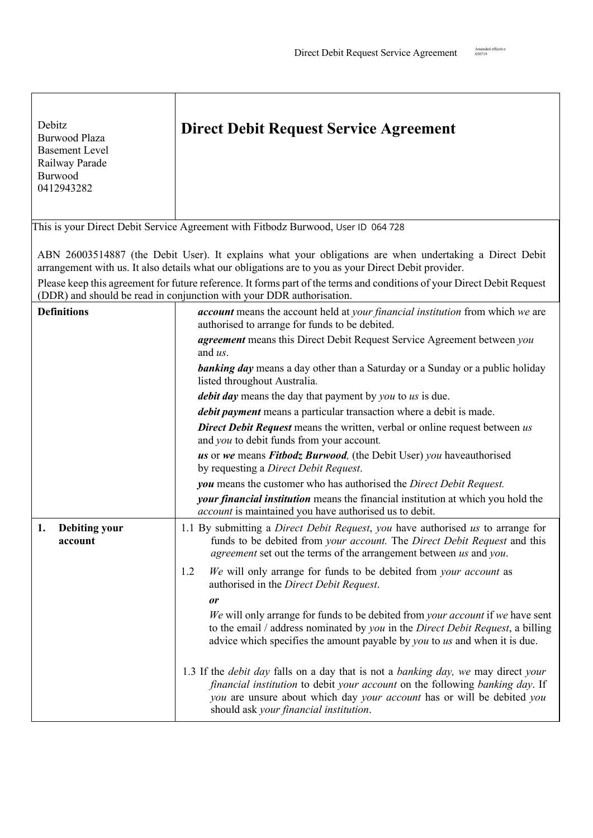| Debitz<br><b>Burwood Plaza</b><br><b>Basement Level</b><br>Railway Parade<br>Burwood<br>0412943282                                                                                                             | <b>Direct Debit Request Service Agreement</b>                                                                                                                                                                                                                                                        |  |
|----------------------------------------------------------------------------------------------------------------------------------------------------------------------------------------------------------------|------------------------------------------------------------------------------------------------------------------------------------------------------------------------------------------------------------------------------------------------------------------------------------------------------|--|
|                                                                                                                                                                                                                | This is your Direct Debit Service Agreement with Fitbodz Burwood, User ID 064 728                                                                                                                                                                                                                    |  |
| ABN 26003514887 (the Debit User). It explains what your obligations are when undertaking a Direct Debit<br>arrangement with us. It also details what our obligations are to you as your Direct Debit provider. |                                                                                                                                                                                                                                                                                                      |  |
| Please keep this agreement for future reference. It forms part of the terms and conditions of your Direct Debit Request<br>(DDR) and should be read in conjunction with your DDR authorisation.                |                                                                                                                                                                                                                                                                                                      |  |
| <b>Definitions</b>                                                                                                                                                                                             | account means the account held at your financial institution from which we are<br>authorised to arrange for funds to be debited.                                                                                                                                                                     |  |
|                                                                                                                                                                                                                | agreement means this Direct Debit Request Service Agreement between you<br>and us.                                                                                                                                                                                                                   |  |
|                                                                                                                                                                                                                | <b>banking day</b> means a day other than a Saturday or a Sunday or a public holiday<br>listed throughout Australia.                                                                                                                                                                                 |  |
|                                                                                                                                                                                                                | <i>debit day</i> means the day that payment by <i>you</i> to <i>us</i> is due.                                                                                                                                                                                                                       |  |
|                                                                                                                                                                                                                | debit payment means a particular transaction where a debit is made.                                                                                                                                                                                                                                  |  |
|                                                                                                                                                                                                                | <b>Direct Debit Request</b> means the written, verbal or online request between us<br>and you to debit funds from your account.                                                                                                                                                                      |  |
|                                                                                                                                                                                                                | us or we means Fitbodz Burwood, (the Debit User) you haveauthorised<br>by requesting a Direct Debit Request.                                                                                                                                                                                         |  |
|                                                                                                                                                                                                                | you means the customer who has authorised the Direct Debit Request.                                                                                                                                                                                                                                  |  |
|                                                                                                                                                                                                                | your financial institution means the financial institution at which you hold the<br><i>account</i> is maintained you have authorised us to debit.                                                                                                                                                    |  |
| <b>Debiting your</b><br>1.<br>account                                                                                                                                                                          | 1.1 By submitting a Direct Debit Request, you have authorised us to arrange for<br>funds to be debited from your account. The Direct Debit Request and this<br><i>agreement</i> set out the terms of the arrangement between us and you.                                                             |  |
|                                                                                                                                                                                                                | 1.2<br>We will only arrange for funds to be debited from your account as<br>authorised in the Direct Debit Request.                                                                                                                                                                                  |  |
|                                                                                                                                                                                                                | or                                                                                                                                                                                                                                                                                                   |  |
|                                                                                                                                                                                                                | We will only arrange for funds to be debited from your account if we have sent<br>to the email / address nominated by you in the Direct Debit Request, a billing<br>advice which specifies the amount payable by <i>you</i> to us and when it is due.                                                |  |
|                                                                                                                                                                                                                | 1.3 If the <i>debit day</i> falls on a day that is not a <i>banking day</i> , we may direct your<br>financial institution to debit your account on the following banking day. If<br>you are unsure about which day your account has or will be debited you<br>should ask your financial institution. |  |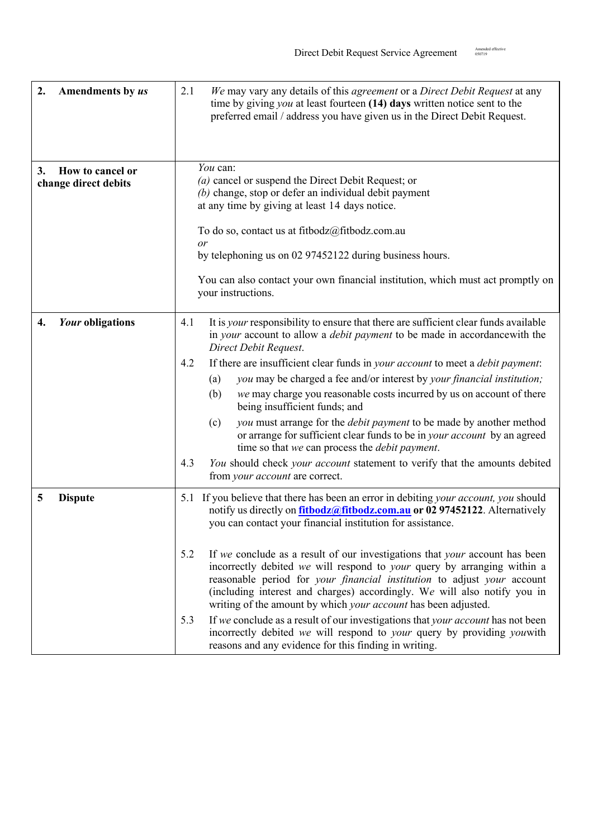| 2.<br>Amendments by us                         | We may vary any details of this <i>agreement</i> or a <i>Direct Debit Request</i> at any<br>2.1<br>time by giving $you$ at least fourteen $(14)$ days written notice sent to the<br>preferred email / address you have given us in the Direct Debit Request.                                                                                                                           |
|------------------------------------------------|----------------------------------------------------------------------------------------------------------------------------------------------------------------------------------------------------------------------------------------------------------------------------------------------------------------------------------------------------------------------------------------|
| 3.<br>How to cancel or<br>change direct debits | You can:<br>(a) cancel or suspend the Direct Debit Request; or                                                                                                                                                                                                                                                                                                                         |
|                                                | $(b)$ change, stop or defer an individual debit payment<br>at any time by giving at least 14 days notice.                                                                                                                                                                                                                                                                              |
|                                                | To do so, contact us at fitbodz $@$ fitbodz.com.au                                                                                                                                                                                                                                                                                                                                     |
|                                                | or<br>by telephoning us on 02 97452122 during business hours.                                                                                                                                                                                                                                                                                                                          |
|                                                | You can also contact your own financial institution, which must act promptly on<br>your instructions.                                                                                                                                                                                                                                                                                  |
| Your obligations<br>4.                         | It is <i>your</i> responsibility to ensure that there are sufficient clear funds available<br>4.1<br>in your account to allow a <i>debit payment</i> to be made in accordance with the<br>Direct Debit Request.                                                                                                                                                                        |
|                                                | If there are insufficient clear funds in your account to meet a debit payment:<br>4.2                                                                                                                                                                                                                                                                                                  |
|                                                | you may be charged a fee and/or interest by your financial institution;<br>(a)<br>we may charge you reasonable costs incurred by us on account of there<br>(b)<br>being insufficient funds; and                                                                                                                                                                                        |
|                                                | you must arrange for the <i>debit payment</i> to be made by another method<br>(c)<br>or arrange for sufficient clear funds to be in your account by an agreed<br>time so that we can process the <i>debit payment</i> .                                                                                                                                                                |
|                                                | You should check your account statement to verify that the amounts debited<br>4.3<br>from your account are correct.                                                                                                                                                                                                                                                                    |
| 5<br><b>Dispute</b>                            | 5.1 If you believe that there has been an error in debiting your account, you should<br>notify us directly on <b>fitbodz@fitbodz.com.au</b> or 02 97452122. Alternatively<br>you can contact your financial institution for assistance.                                                                                                                                                |
|                                                | If we conclude as a result of our investigations that your account has been<br>5.2<br>incorrectly debited we will respond to your query by arranging within a<br>reasonable period for your financial institution to adjust your account<br>(including interest and charges) accordingly. We will also notify you in<br>writing of the amount by which your account has been adjusted. |
|                                                | If we conclude as a result of our investigations that your account has not been<br>5.3<br>incorrectly debited we will respond to your query by providing youwith<br>reasons and any evidence for this finding in writing.                                                                                                                                                              |